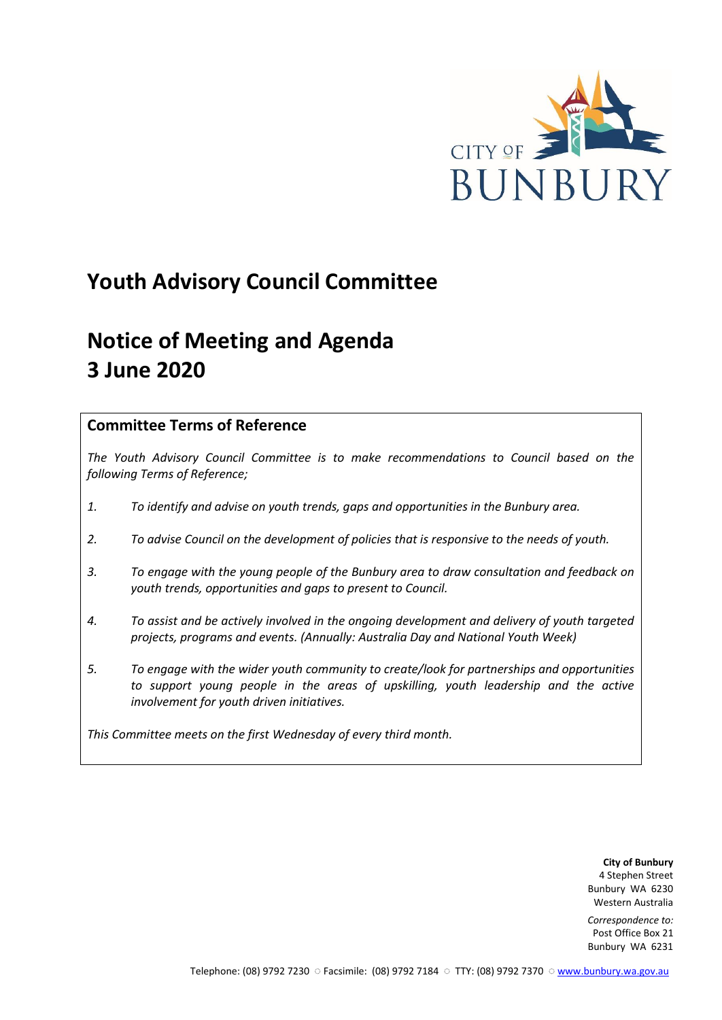

# **Youth Advisory Council Committee**

# **Notice of Meeting and Agenda 3 June 2020**

## **Committee Terms of Reference**

*The Youth Advisory Council Committee is to make recommendations to Council based on the following Terms of Reference;*

- *1. To identify and advise on youth trends, gaps and opportunities in the Bunbury area.*
- *2. To advise Council on the development of policies that is responsive to the needs of youth.*
- *3. To engage with the young people of the Bunbury area to draw consultation and feedback on youth trends, opportunities and gaps to present to Council.*
- *4. To assist and be actively involved in the ongoing development and delivery of youth targeted projects, programs and events. (Annually: Australia Day and National Youth Week)*
- *5. To engage with the wider youth community to create/look for partnerships and opportunities*  to support young people in the areas of upskilling, youth leadership and the active *involvement for youth driven initiatives.*

*This Committee meets on the first Wednesday of every third month.*

**City of Bunbury** 4 Stephen Street Bunbury WA 6230 Western Australia

*Correspondence to:* Post Office Box 21 Bunbury WA 6231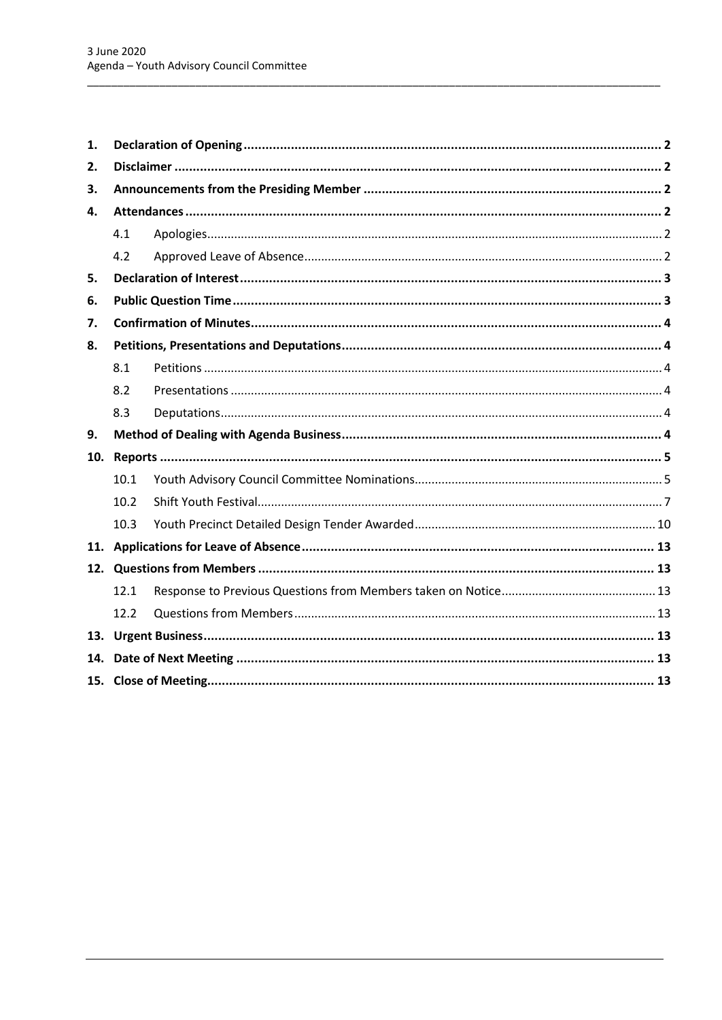| 1.  |      |  |  |  |  |
|-----|------|--|--|--|--|
| 2.  |      |  |  |  |  |
| 3.  |      |  |  |  |  |
| 4.  |      |  |  |  |  |
|     | 4.1  |  |  |  |  |
|     | 4.2  |  |  |  |  |
| 5.  |      |  |  |  |  |
| 6.  |      |  |  |  |  |
| 7.  |      |  |  |  |  |
| 8.  |      |  |  |  |  |
|     | 8.1  |  |  |  |  |
|     | 8.2  |  |  |  |  |
|     | 8.3  |  |  |  |  |
| 9.  |      |  |  |  |  |
| 10. |      |  |  |  |  |
|     | 10.1 |  |  |  |  |
|     | 10.2 |  |  |  |  |
|     | 10.3 |  |  |  |  |
|     |      |  |  |  |  |
|     |      |  |  |  |  |
|     | 12.1 |  |  |  |  |
|     | 12.2 |  |  |  |  |
|     |      |  |  |  |  |
|     |      |  |  |  |  |
|     |      |  |  |  |  |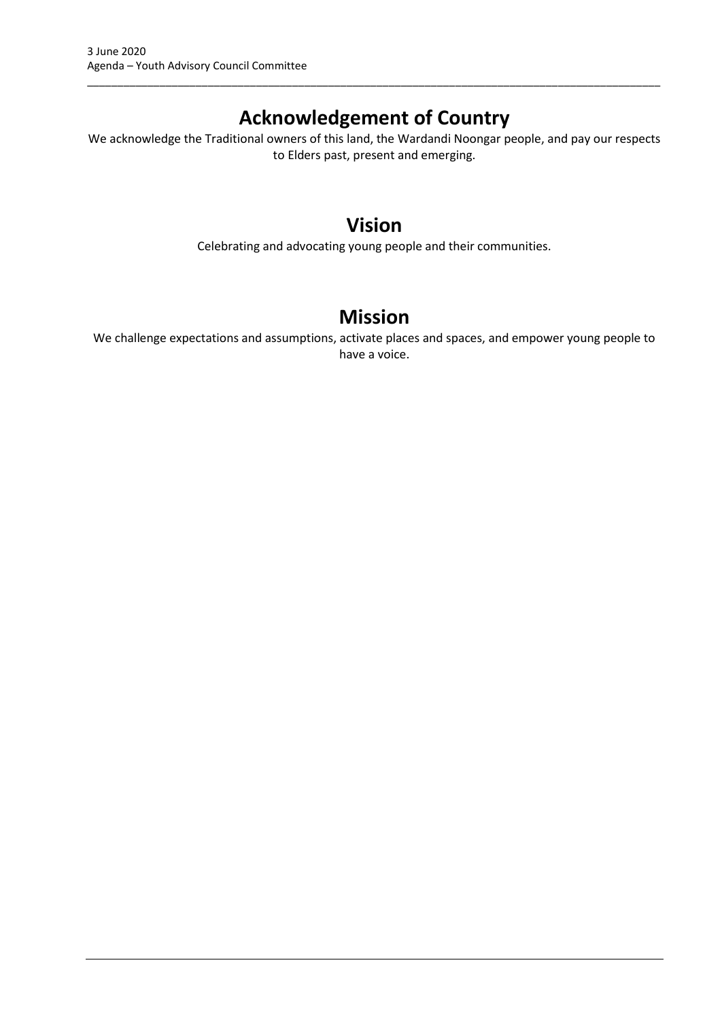## **Acknowledgement of Country**

\_\_\_\_\_\_\_\_\_\_\_\_\_\_\_\_\_\_\_\_\_\_\_\_\_\_\_\_\_\_\_\_\_\_\_\_\_\_\_\_\_\_\_\_\_\_\_\_\_\_\_\_\_\_\_\_\_\_\_\_\_\_\_\_\_\_\_\_\_\_\_\_\_\_\_\_\_\_\_\_\_\_\_\_\_\_\_\_\_\_\_\_\_\_\_

We acknowledge the Traditional owners of this land, the Wardandi Noongar people, and pay our respects to Elders past, present and emerging.

## **Vision**

Celebrating and advocating young people and their communities.

## **Mission**

We challenge expectations and assumptions, activate places and spaces, and empower young people to have a voice.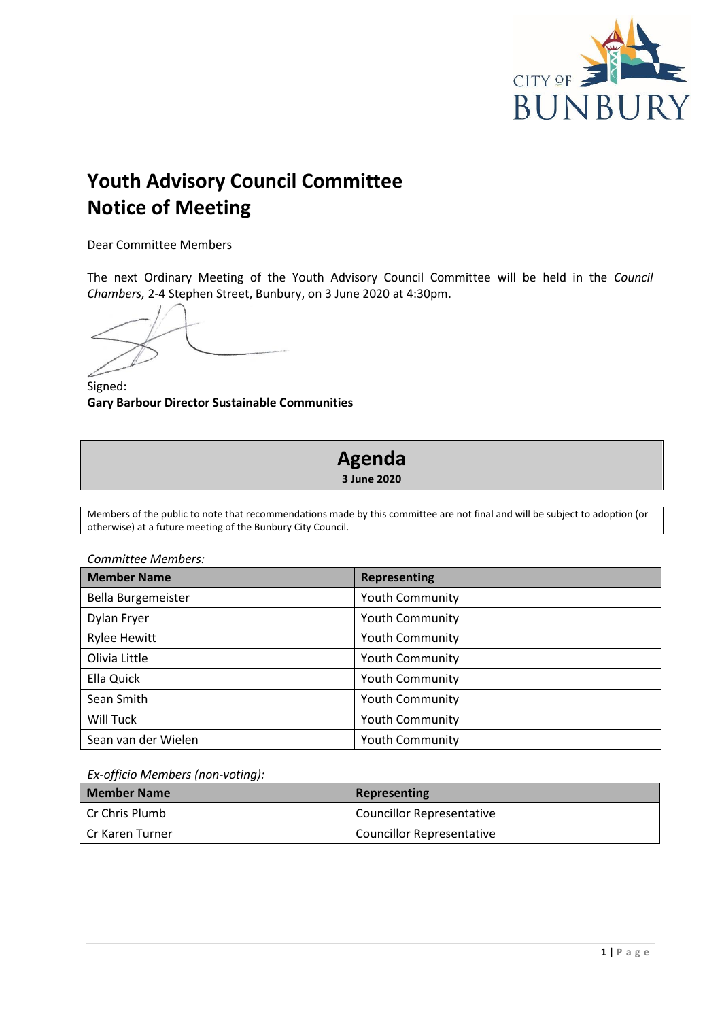

# **Youth Advisory Council Committee Notice of Meeting**

Dear Committee Members

The next Ordinary Meeting of the Youth Advisory Council Committee will be held in the *Council Chambers,* 2-4 Stephen Street, Bunbury, on 3 June 2020 at 4:30pm.

Signed: **Gary Barbour Director Sustainable Communities**

## **Agenda 3 June 2020**

Members of the public to note that recommendations made by this committee are not final and will be subject to adoption (or otherwise) at a future meeting of the Bunbury City Council.

*Committee Members:*

| <b>Member Name</b>  | <b>Representing</b>    |
|---------------------|------------------------|
| Bella Burgemeister  | <b>Youth Community</b> |
| Dylan Fryer         | <b>Youth Community</b> |
| <b>Rylee Hewitt</b> | <b>Youth Community</b> |
| Olivia Little       | <b>Youth Community</b> |
| Ella Quick          | Youth Community        |
| Sean Smith          | <b>Youth Community</b> |
| Will Tuck           | <b>Youth Community</b> |
| Sean van der Wielen | <b>Youth Community</b> |

#### *Ex-officio Members (non-voting):*

| <b>Member Name</b> | Representing                     |
|--------------------|----------------------------------|
| Cr Chris Plumb     | <b>Councillor Representative</b> |
| Cr Karen Turner    | <b>Councillor Representative</b> |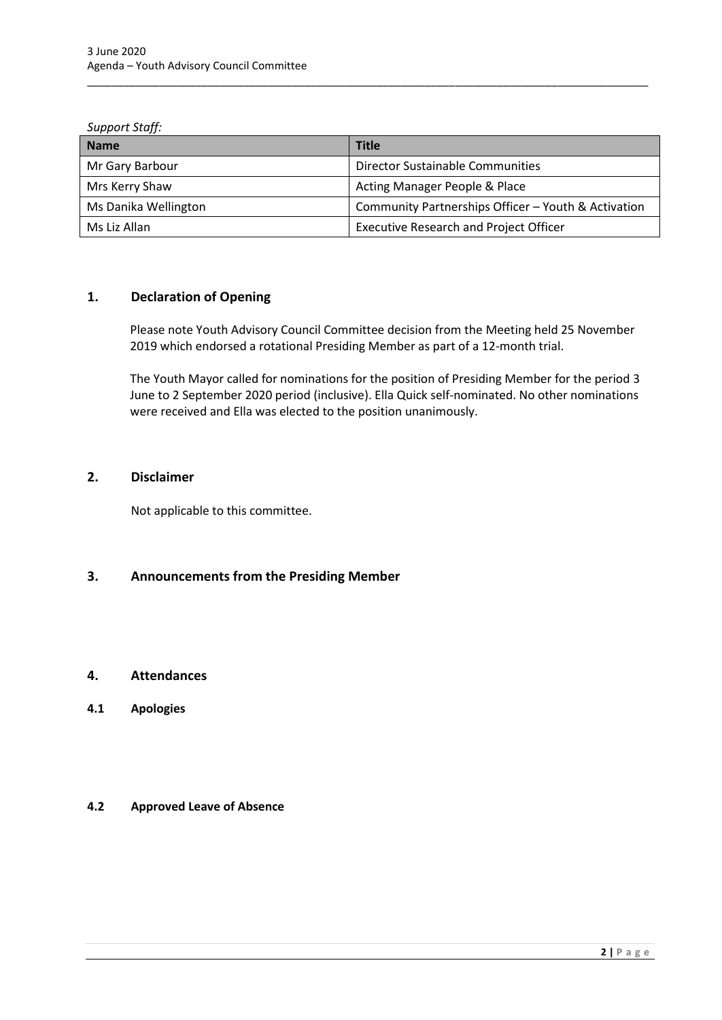#### *Support Staff:*

| <b>Name</b>          | <b>Title</b>                                        |
|----------------------|-----------------------------------------------------|
| Mr Gary Barbour      | <b>Director Sustainable Communities</b>             |
| Mrs Kerry Shaw       | Acting Manager People & Place                       |
| Ms Danika Wellington | Community Partnerships Officer - Youth & Activation |
| Ms Liz Allan         | <b>Executive Research and Project Officer</b>       |

\_\_\_\_\_\_\_\_\_\_\_\_\_\_\_\_\_\_\_\_\_\_\_\_\_\_\_\_\_\_\_\_\_\_\_\_\_\_\_\_\_\_\_\_\_\_\_\_\_\_\_\_\_\_\_\_\_\_\_\_\_\_\_\_\_\_\_\_\_\_\_\_\_\_\_\_\_\_\_\_\_\_\_\_\_\_\_\_\_\_\_\_\_

## <span id="page-4-0"></span>**1. Declaration of Opening**

Please note Youth Advisory Council Committee decision from the Meeting held 25 November 2019 which endorsed a rotational Presiding Member as part of a 12-month trial.

The Youth Mayor called for nominations for the position of Presiding Member for the period 3 June to 2 September 2020 period (inclusive). Ella Quick self-nominated. No other nominations were received and Ella was elected to the position unanimously.

### <span id="page-4-1"></span>**2. Disclaimer**

Not applicable to this committee.

## <span id="page-4-2"></span>**3. Announcements from the Presiding Member**

## <span id="page-4-3"></span>**4. Attendances**

<span id="page-4-4"></span>**4.1 Apologies**

## <span id="page-4-5"></span>**4.2 Approved Leave of Absence**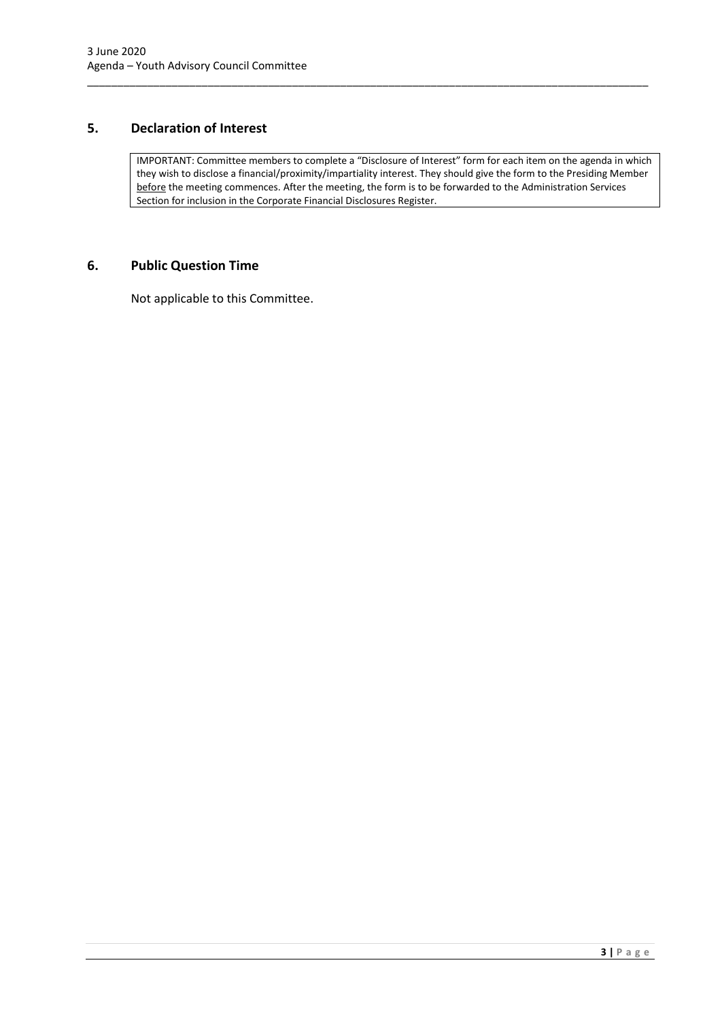## <span id="page-5-0"></span>**5. Declaration of Interest**

IMPORTANT: Committee members to complete a "Disclosure of Interest" form for each item on the agenda in which they wish to disclose a financial/proximity/impartiality interest. They should give the form to the Presiding Member before the meeting commences. After the meeting, the form is to be forwarded to the Administration Services Section for inclusion in the Corporate Financial Disclosures Register.

\_\_\_\_\_\_\_\_\_\_\_\_\_\_\_\_\_\_\_\_\_\_\_\_\_\_\_\_\_\_\_\_\_\_\_\_\_\_\_\_\_\_\_\_\_\_\_\_\_\_\_\_\_\_\_\_\_\_\_\_\_\_\_\_\_\_\_\_\_\_\_\_\_\_\_\_\_\_\_\_\_\_\_\_\_\_\_\_\_\_\_\_\_

#### <span id="page-5-1"></span>**6. Public Question Time**

Not applicable to this Committee.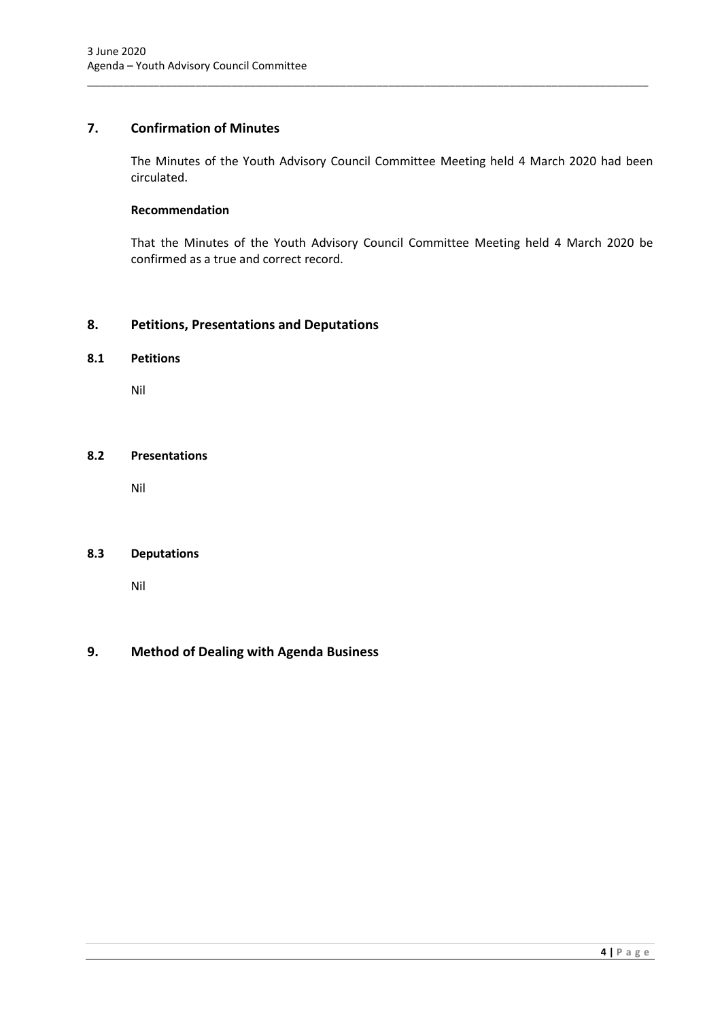## <span id="page-6-0"></span>**7. Confirmation of Minutes**

The Minutes of the Youth Advisory Council Committee Meeting held 4 March 2020 had been circulated.

\_\_\_\_\_\_\_\_\_\_\_\_\_\_\_\_\_\_\_\_\_\_\_\_\_\_\_\_\_\_\_\_\_\_\_\_\_\_\_\_\_\_\_\_\_\_\_\_\_\_\_\_\_\_\_\_\_\_\_\_\_\_\_\_\_\_\_\_\_\_\_\_\_\_\_\_\_\_\_\_\_\_\_\_\_\_\_\_\_\_\_\_\_

## **Recommendation**

That the Minutes of the Youth Advisory Council Committee Meeting held 4 March 2020 be confirmed as a true and correct record.

## <span id="page-6-1"></span>**8. Petitions, Presentations and Deputations**

#### <span id="page-6-2"></span>**8.1 Petitions**

Nil

#### <span id="page-6-3"></span>**8.2 Presentations**

Nil

## <span id="page-6-4"></span>**8.3 Deputations**

Nil

## <span id="page-6-5"></span>**9. Method of Dealing with Agenda Business**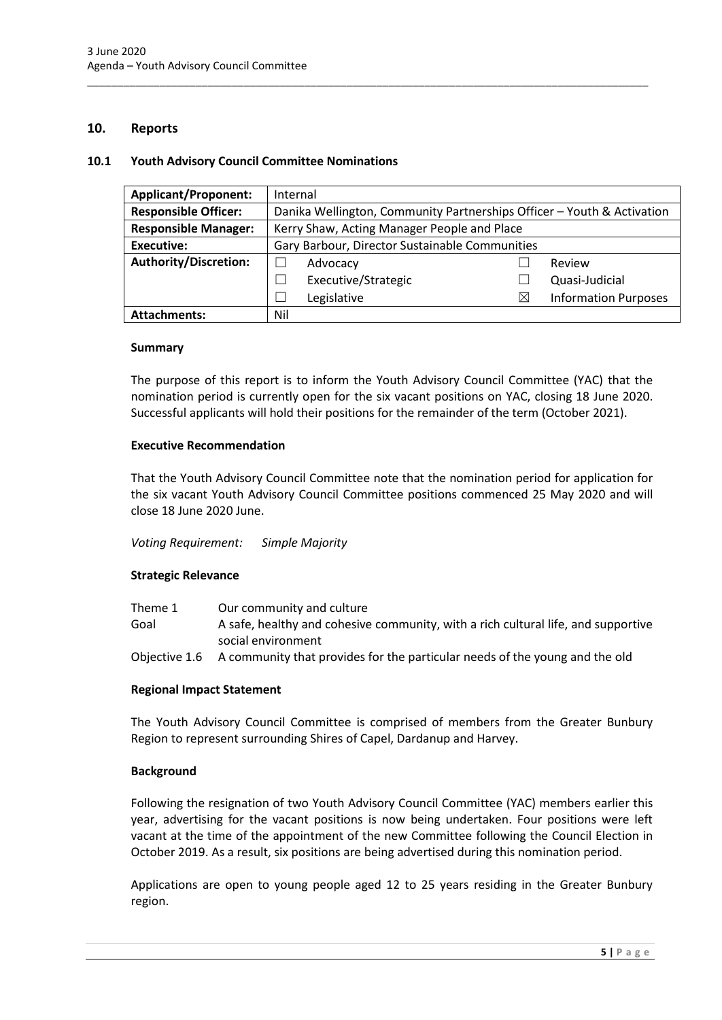#### <span id="page-7-0"></span>**10. Reports**

#### <span id="page-7-1"></span>**10.1 Youth Advisory Council Committee Nominations**

| <b>Applicant/Proponent:</b> | Internal                                       |                                                                        |   |                             |
|-----------------------------|------------------------------------------------|------------------------------------------------------------------------|---|-----------------------------|
| <b>Responsible Officer:</b> |                                                | Danika Wellington, Community Partnerships Officer - Youth & Activation |   |                             |
| <b>Responsible Manager:</b> |                                                | Kerry Shaw, Acting Manager People and Place                            |   |                             |
| <b>Executive:</b>           | Gary Barbour, Director Sustainable Communities |                                                                        |   |                             |
| Authority/Discretion:       |                                                | Advocacy                                                               |   | Review                      |
|                             |                                                | Executive/Strategic                                                    |   | Quasi-Judicial              |
|                             |                                                | Legislative                                                            | ⋉ | <b>Information Purposes</b> |
| <b>Attachments:</b>         | Nil                                            |                                                                        |   |                             |

\_\_\_\_\_\_\_\_\_\_\_\_\_\_\_\_\_\_\_\_\_\_\_\_\_\_\_\_\_\_\_\_\_\_\_\_\_\_\_\_\_\_\_\_\_\_\_\_\_\_\_\_\_\_\_\_\_\_\_\_\_\_\_\_\_\_\_\_\_\_\_\_\_\_\_\_\_\_\_\_\_\_\_\_\_\_\_\_\_\_\_\_\_

#### **Summary**

The purpose of this report is to inform the Youth Advisory Council Committee (YAC) that the nomination period is currently open for the six vacant positions on YAC, closing 18 June 2020. Successful applicants will hold their positions for the remainder of the term (October 2021).

#### **Executive Recommendation**

That the Youth Advisory Council Committee note that the nomination period for application for the six vacant Youth Advisory Council Committee positions commenced 25 May 2020 and will close 18 June 2020 June.

#### *Voting Requirement: Simple Majority*

#### **Strategic Relevance**

| Theme 1 | Our community and culture                                                                 |
|---------|-------------------------------------------------------------------------------------------|
| Goal    | A safe, healthy and cohesive community, with a rich cultural life, and supportive         |
|         | social environment                                                                        |
|         | Objective 1.6 A community that provides for the particular needs of the young and the old |

#### **Regional Impact Statement**

The Youth Advisory Council Committee is comprised of members from the Greater Bunbury Region to represent surrounding Shires of Capel, Dardanup and Harvey.

#### **Background**

Following the resignation of two Youth Advisory Council Committee (YAC) members earlier this year, advertising for the vacant positions is now being undertaken. Four positions were left vacant at the time of the appointment of the new Committee following the Council Election in October 2019. As a result, six positions are being advertised during this nomination period.

Applications are open to young people aged 12 to 25 years residing in the Greater Bunbury region.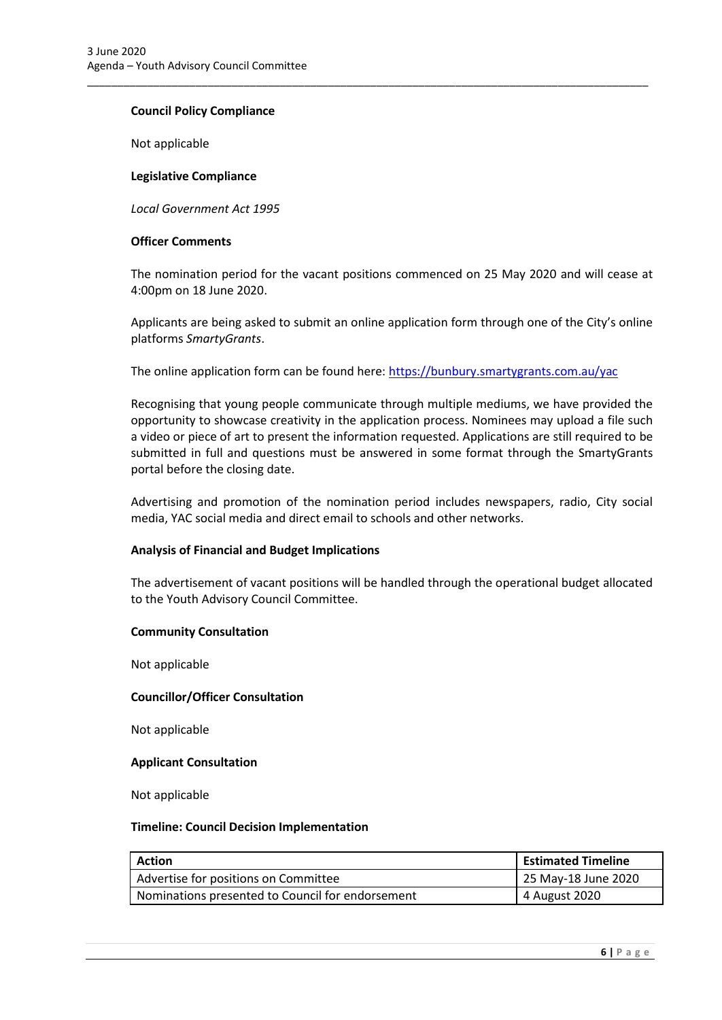#### **Council Policy Compliance**

Not applicable

#### **Legislative Compliance**

*Local Government Act 1995*

#### **Officer Comments**

The nomination period for the vacant positions commenced on 25 May 2020 and will cease at 4:00pm on 18 June 2020.

Applicants are being asked to submit an online application form through one of the City's online platforms *SmartyGrants*.

The online application form can be found here[: https://bunbury.smartygrants.com.au/yac](https://bunbury.smartygrants.com.au/yac)

\_\_\_\_\_\_\_\_\_\_\_\_\_\_\_\_\_\_\_\_\_\_\_\_\_\_\_\_\_\_\_\_\_\_\_\_\_\_\_\_\_\_\_\_\_\_\_\_\_\_\_\_\_\_\_\_\_\_\_\_\_\_\_\_\_\_\_\_\_\_\_\_\_\_\_\_\_\_\_\_\_\_\_\_\_\_\_\_\_\_\_\_\_

Recognising that young people communicate through multiple mediums, we have provided the opportunity to showcase creativity in the application process. Nominees may upload a file such a video or piece of art to present the information requested. Applications are still required to be submitted in full and questions must be answered in some format through the SmartyGrants portal before the closing date.

Advertising and promotion of the nomination period includes newspapers, radio, City social media, YAC social media and direct email to schools and other networks.

#### **Analysis of Financial and Budget Implications**

The advertisement of vacant positions will be handled through the operational budget allocated to the Youth Advisory Council Committee.

#### **Community Consultation**

Not applicable

#### **Councillor/Officer Consultation**

Not applicable

#### **Applicant Consultation**

Not applicable

#### **Timeline: Council Decision Implementation**

| <b>Action</b>                                    | <b>Estimated Timeline</b> |
|--------------------------------------------------|---------------------------|
| Advertise for positions on Committee             | 25 May-18 June 2020       |
| Nominations presented to Council for endorsement | 4 August 2020             |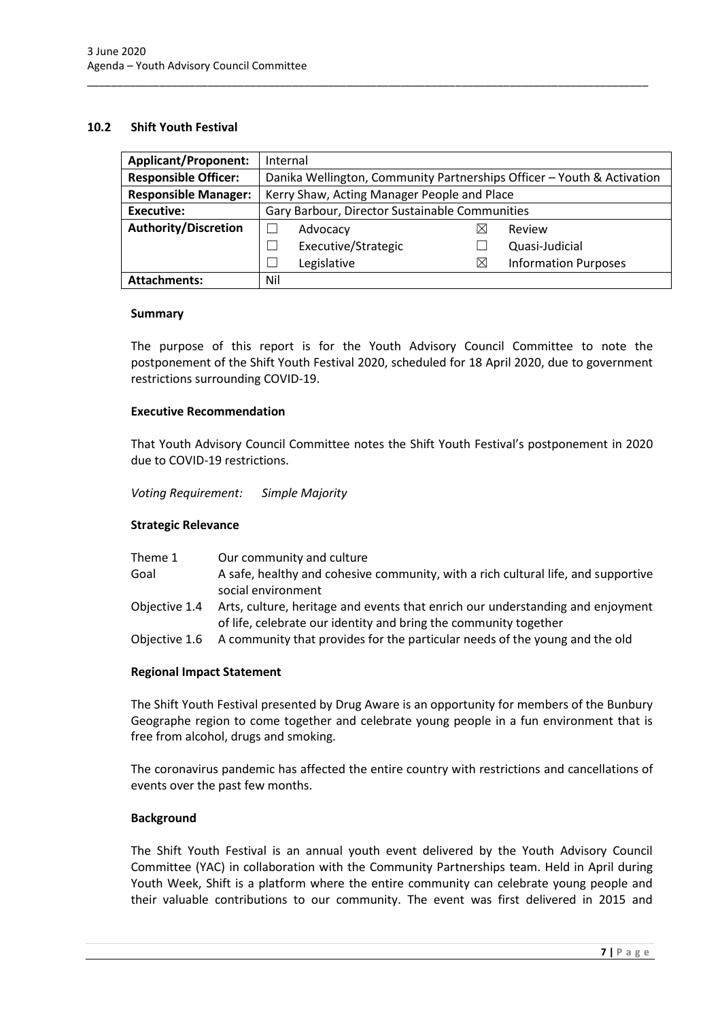#### <span id="page-9-0"></span>**10.2 Shift Youth Festival**

| <b>Applicant/Proponent:</b> | Internal                                                               |                     |  |          |                             |
|-----------------------------|------------------------------------------------------------------------|---------------------|--|----------|-----------------------------|
| <b>Responsible Officer:</b> | Danika Wellington, Community Partnerships Officer - Youth & Activation |                     |  |          |                             |
| <b>Responsible Manager:</b> | Kerry Shaw, Acting Manager People and Place                            |                     |  |          |                             |
| <b>Executive:</b>           | Gary Barbour, Director Sustainable Communities                         |                     |  |          |                             |
| <b>Authority/Discretion</b> |                                                                        | Advocacy            |  | ⋉        | Review                      |
|                             |                                                                        | Executive/Strategic |  |          | Quasi-Judicial              |
|                             |                                                                        | Legislative         |  | $\times$ | <b>Information Purposes</b> |
| <b>Attachments:</b>         | Nil                                                                    |                     |  |          |                             |

\_\_\_\_\_\_\_\_\_\_\_\_\_\_\_\_\_\_\_\_\_\_\_\_\_\_\_\_\_\_\_\_\_\_\_\_\_\_\_\_\_\_\_\_\_\_\_\_\_\_\_\_\_\_\_\_\_\_\_\_\_\_\_\_\_\_\_\_\_\_\_\_\_\_\_\_\_\_\_\_\_\_\_\_\_\_\_\_\_\_\_\_\_

#### **Summary**

The purpose of this report is for the Youth Advisory Council Committee to note the postponement of the Shift Youth Festival 2020, scheduled for 18 April 2020, due to government restrictions surrounding COVID-19.

#### **Executive Recommendation**

That Youth Advisory Council Committee notes the Shift Youth Festival's postponement in 2020 due to COVID-19 restrictions.

*Voting Requirement: Simple Majority* 

#### **Strategic Relevance**

| Theme 1       | Our community and culture                                                                                                                          |
|---------------|----------------------------------------------------------------------------------------------------------------------------------------------------|
| Goal          | A safe, healthy and cohesive community, with a rich cultural life, and supportive<br>social environment                                            |
| Obiective 1.4 | Arts, culture, heritage and events that enrich our understanding and enjoyment<br>of life, celebrate our identity and bring the community together |
| Objective 1.6 | A community that provides for the particular needs of the young and the old                                                                        |

#### **Regional Impact Statement**

The Shift Youth Festival presented by Drug Aware is an opportunity for members of the Bunbury Geographe region to come together and celebrate young people in a fun environment that is free from alcohol, drugs and smoking.

The coronavirus pandemic has affected the entire country with restrictions and cancellations of events over the past few months.

#### **Background**

The Shift Youth Festival is an annual youth event delivered by the Youth Advisory Council Committee (YAC) in collaboration with the Community Partnerships team. Held in April during Youth Week, Shift is a platform where the entire community can celebrate young people and their valuable contributions to our community. The event was first delivered in 2015 and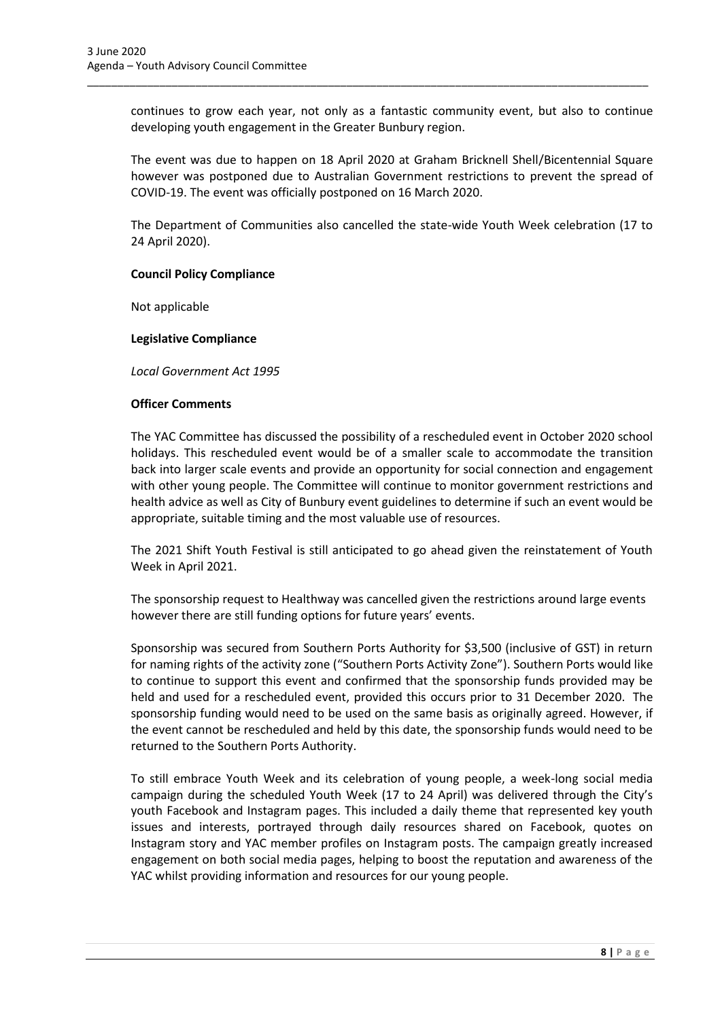continues to grow each year, not only as a fantastic community event, but also to continue developing youth engagement in the Greater Bunbury region.

\_\_\_\_\_\_\_\_\_\_\_\_\_\_\_\_\_\_\_\_\_\_\_\_\_\_\_\_\_\_\_\_\_\_\_\_\_\_\_\_\_\_\_\_\_\_\_\_\_\_\_\_\_\_\_\_\_\_\_\_\_\_\_\_\_\_\_\_\_\_\_\_\_\_\_\_\_\_\_\_\_\_\_\_\_\_\_\_\_\_\_\_\_

The event was due to happen on 18 April 2020 at Graham Bricknell Shell/Bicentennial Square however was postponed due to Australian Government restrictions to prevent the spread of COVID-19. The event was officially postponed on 16 March 2020.

The Department of Communities also cancelled the state-wide Youth Week celebration (17 to 24 April 2020).

#### **Council Policy Compliance**

Not applicable

#### **Legislative Compliance**

*Local Government Act 1995*

#### **Officer Comments**

The YAC Committee has discussed the possibility of a rescheduled event in October 2020 school holidays. This rescheduled event would be of a smaller scale to accommodate the transition back into larger scale events and provide an opportunity for social connection and engagement with other young people. The Committee will continue to monitor government restrictions and health advice as well as City of Bunbury event guidelines to determine if such an event would be appropriate, suitable timing and the most valuable use of resources.

The 2021 Shift Youth Festival is still anticipated to go ahead given the reinstatement of Youth Week in April 2021.

The sponsorship request to Healthway was cancelled given the restrictions around large events however there are still funding options for future years' events.

Sponsorship was secured from Southern Ports Authority for \$3,500 (inclusive of GST) in return for naming rights of the activity zone ("Southern Ports Activity Zone"). Southern Ports would like to continue to support this event and confirmed that the sponsorship funds provided may be held and used for a rescheduled event, provided this occurs prior to 31 December 2020. The sponsorship funding would need to be used on the same basis as originally agreed. However, if the event cannot be rescheduled and held by this date, the sponsorship funds would need to be returned to the Southern Ports Authority.

To still embrace Youth Week and its celebration of young people, a week-long social media campaign during the scheduled Youth Week (17 to 24 April) was delivered through the City's youth Facebook and Instagram pages. This included a daily theme that represented key youth issues and interests, portrayed through daily resources shared on Facebook, quotes on Instagram story and YAC member profiles on Instagram posts. The campaign greatly increased engagement on both social media pages, helping to boost the reputation and awareness of the YAC whilst providing information and resources for our young people.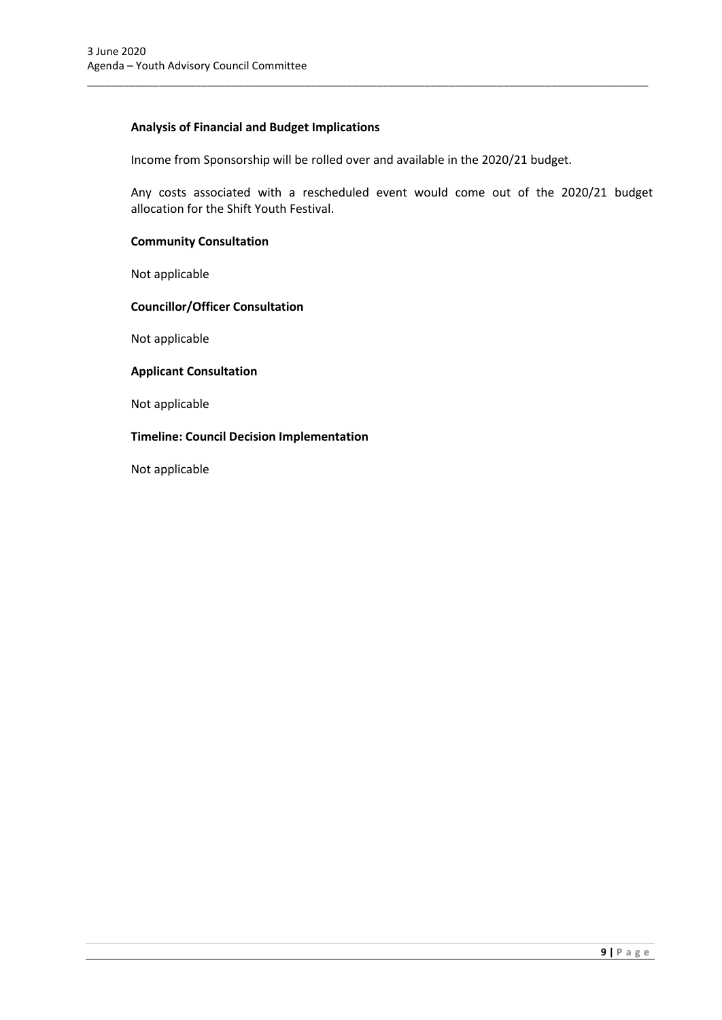### **Analysis of Financial and Budget Implications**

Income from Sponsorship will be rolled over and available in the 2020/21 budget.

\_\_\_\_\_\_\_\_\_\_\_\_\_\_\_\_\_\_\_\_\_\_\_\_\_\_\_\_\_\_\_\_\_\_\_\_\_\_\_\_\_\_\_\_\_\_\_\_\_\_\_\_\_\_\_\_\_\_\_\_\_\_\_\_\_\_\_\_\_\_\_\_\_\_\_\_\_\_\_\_\_\_\_\_\_\_\_\_\_\_\_\_\_

Any costs associated with a rescheduled event would come out of the 2020/21 budget allocation for the Shift Youth Festival.

#### **Community Consultation**

Not applicable

#### **Councillor/Officer Consultation**

Not applicable

#### **Applicant Consultation**

Not applicable

#### **Timeline: Council Decision Implementation**

Not applicable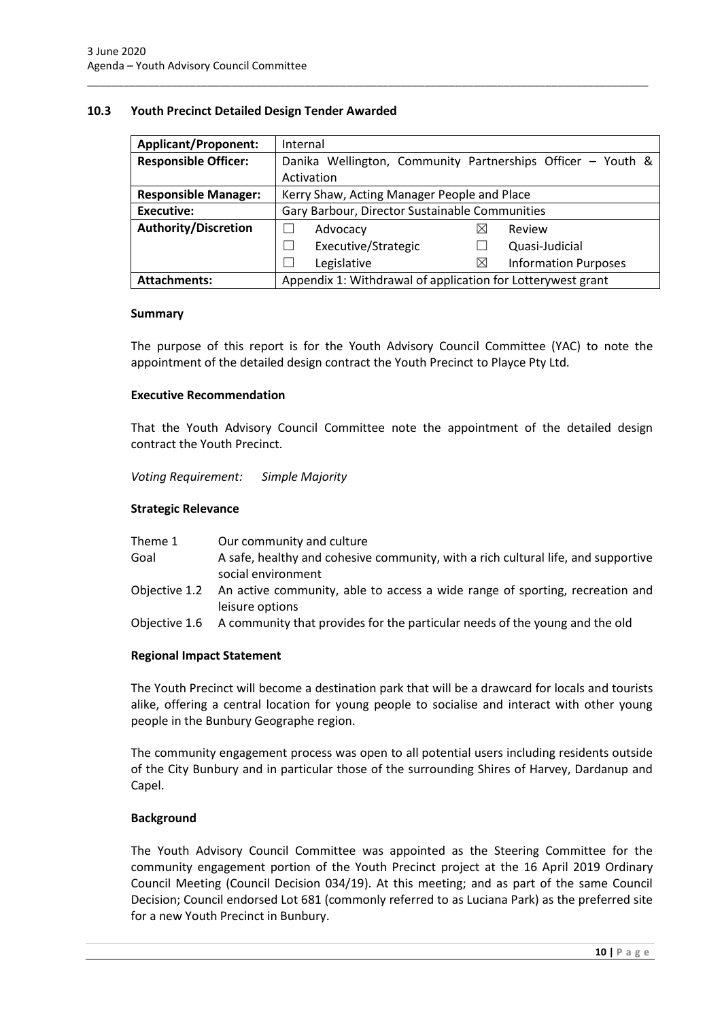#### <span id="page-12-0"></span>**10.3 Youth Precinct Detailed Design Tender Awarded**

| <b>Applicant/Proponent:</b> | Internal                                                    |  |  |
|-----------------------------|-------------------------------------------------------------|--|--|
| <b>Responsible Officer:</b> | Danika Wellington, Community Partnerships Officer - Youth & |  |  |
|                             | Activation                                                  |  |  |
| <b>Responsible Manager:</b> | Kerry Shaw, Acting Manager People and Place                 |  |  |
| Executive:                  | Gary Barbour, Director Sustainable Communities              |  |  |
| <b>Authority/Discretion</b> | $\times$<br>Review<br>Advocacy                              |  |  |
|                             | Executive/Strategic<br>Quasi-Judicial                       |  |  |
|                             | <b>Information Purposes</b><br>Legislative<br>$\boxtimes$   |  |  |
| <b>Attachments:</b>         | Appendix 1: Withdrawal of application for Lotterywest grant |  |  |

\_\_\_\_\_\_\_\_\_\_\_\_\_\_\_\_\_\_\_\_\_\_\_\_\_\_\_\_\_\_\_\_\_\_\_\_\_\_\_\_\_\_\_\_\_\_\_\_\_\_\_\_\_\_\_\_\_\_\_\_\_\_\_\_\_\_\_\_\_\_\_\_\_\_\_\_\_\_\_\_\_\_\_\_\_\_\_\_\_\_\_\_\_

#### **Summary**

The purpose of this report is for the Youth Advisory Council Committee (YAC) to note the appointment of the detailed design contract the Youth Precinct to Playce Pty Ltd.

#### **Executive Recommendation**

That the Youth Advisory Council Committee note the appointment of the detailed design contract the Youth Precinct.

*Voting Requirement: Simple Majority* 

#### **Strategic Relevance**

| Theme 1       | Our community and culture                                                                                     |
|---------------|---------------------------------------------------------------------------------------------------------------|
| Goal          | A safe, healthy and cohesive community, with a rich cultural life, and supportive<br>social environment       |
|               | Objective 1.2 An active community, able to access a wide range of sporting, recreation and<br>leisure options |
| Objective 1.6 | A community that provides for the particular needs of the young and the old                                   |

#### **Regional Impact Statement**

The Youth Precinct will become a destination park that will be a drawcard for locals and tourists alike, offering a central location for young people to socialise and interact with other young people in the Bunbury Geographe region.

The community engagement process was open to all potential users including residents outside of the City Bunbury and in particular those of the surrounding Shires of Harvey, Dardanup and Capel.

#### **Background**

The Youth Advisory Council Committee was appointed as the Steering Committee for the community engagement portion of the Youth Precinct project at the 16 April 2019 Ordinary Council Meeting (Council Decision 034/19). At this meeting; and as part of the same Council Decision; Council endorsed Lot 681 (commonly referred to as Luciana Park) as the preferred site for a new Youth Precinct in Bunbury.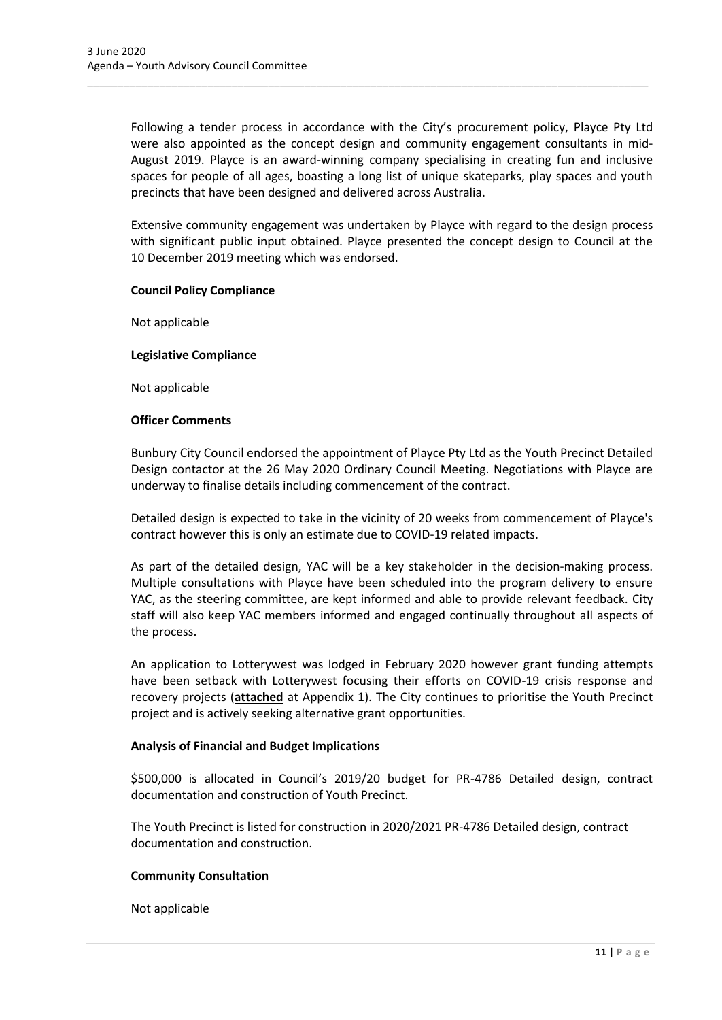Following a tender process in accordance with the City's procurement policy, Playce Pty Ltd were also appointed as the concept design and community engagement consultants in mid-August 2019. Playce is an award-winning company specialising in creating fun and inclusive spaces for people of all ages, boasting a long list of unique skateparks, play spaces and youth precincts that have been designed and delivered across Australia.

\_\_\_\_\_\_\_\_\_\_\_\_\_\_\_\_\_\_\_\_\_\_\_\_\_\_\_\_\_\_\_\_\_\_\_\_\_\_\_\_\_\_\_\_\_\_\_\_\_\_\_\_\_\_\_\_\_\_\_\_\_\_\_\_\_\_\_\_\_\_\_\_\_\_\_\_\_\_\_\_\_\_\_\_\_\_\_\_\_\_\_\_\_

Extensive community engagement was undertaken by Playce with regard to the design process with significant public input obtained. Playce presented the concept design to Council at the 10 December 2019 meeting which was endorsed.

#### **Council Policy Compliance**

Not applicable

#### **Legislative Compliance**

Not applicable

#### **Officer Comments**

Bunbury City Council endorsed the appointment of Playce Pty Ltd as the Youth Precinct Detailed Design contactor at the 26 May 2020 Ordinary Council Meeting. Negotiations with Playce are underway to finalise details including commencement of the contract.

Detailed design is expected to take in the vicinity of 20 weeks from commencement of Playce's contract however this is only an estimate due to COVID-19 related impacts.

As part of the detailed design, YAC will be a key stakeholder in the decision-making process. Multiple consultations with Playce have been scheduled into the program delivery to ensure YAC, as the steering committee, are kept informed and able to provide relevant feedback. City staff will also keep YAC members informed and engaged continually throughout all aspects of the process.

An application to Lotterywest was lodged in February 2020 however grant funding attempts have been setback with Lotterywest focusing their efforts on COVID-19 crisis response and recovery projects (**attached** at Appendix 1). The City continues to prioritise the Youth Precinct project and is actively seeking alternative grant opportunities.

#### **Analysis of Financial and Budget Implications**

\$500,000 is allocated in Council's 2019/20 budget for PR-4786 Detailed design, contract documentation and construction of Youth Precinct.

The Youth Precinct is listed for construction in 2020/2021 PR-4786 Detailed design, contract documentation and construction.

#### **Community Consultation**

Not applicable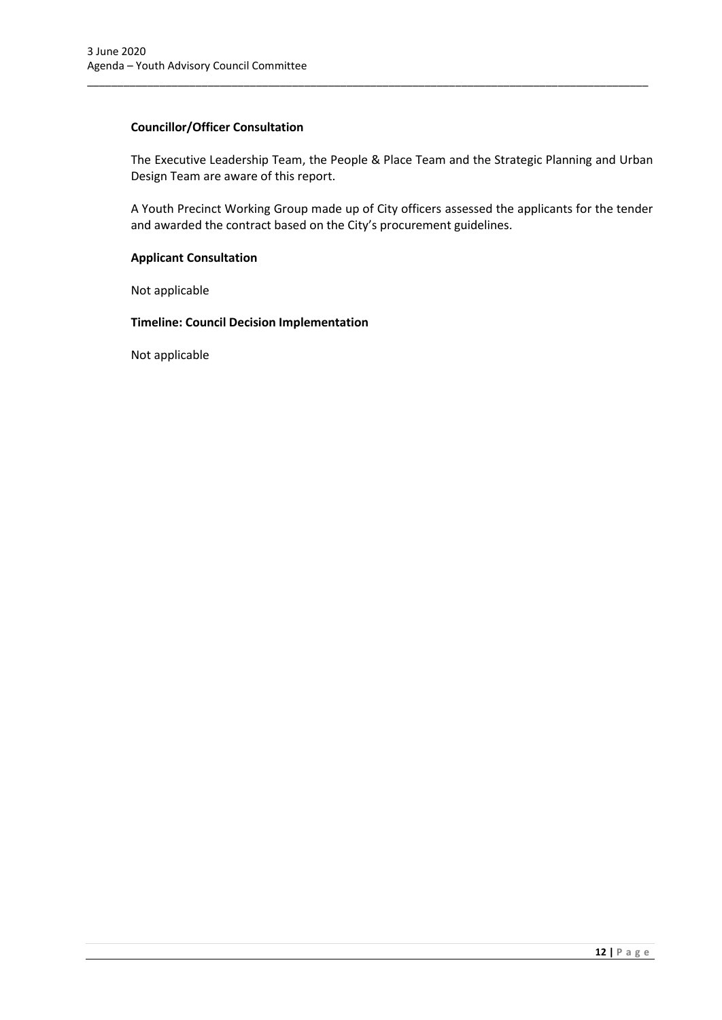#### **Councillor/Officer Consultation**

The Executive Leadership Team, the People & Place Team and the Strategic Planning and Urban Design Team are aware of this report.

\_\_\_\_\_\_\_\_\_\_\_\_\_\_\_\_\_\_\_\_\_\_\_\_\_\_\_\_\_\_\_\_\_\_\_\_\_\_\_\_\_\_\_\_\_\_\_\_\_\_\_\_\_\_\_\_\_\_\_\_\_\_\_\_\_\_\_\_\_\_\_\_\_\_\_\_\_\_\_\_\_\_\_\_\_\_\_\_\_\_\_\_\_

A Youth Precinct Working Group made up of City officers assessed the applicants for the tender and awarded the contract based on the City's procurement guidelines.

#### **Applicant Consultation**

Not applicable

#### **Timeline: Council Decision Implementation**

Not applicable